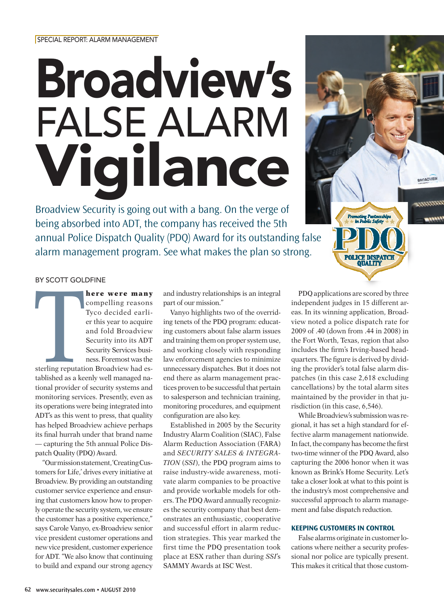# Broadview's False Alarm Vigilance

Broadview Security is going out with a bang. On the verge of being absorbed into ADT, the company has received the 5th annual Police Dispatch Quality (PDQ) Award for its outstanding false alarm management program. See what makes the plan so strong.



#### By Scott Goldfine

Sterling<br>
Sterling<br>
tablished as a key here were many compelling reasons Tyco decided earlier this year to acquire and fold Broadview Security into its ADT Security Services business. Foremost was the sterling reputation Broadview had established as a keenly well managed national provider of security systems and monitoring services. Presently, even as its operations were being integrated into ADT's as this went to press, that quality has helped Broadview achieve perhaps its final hurrah under that brand name — capturing the 5th annual Police Dispatch Quality (PDQ) Award.

"Our mission statement, 'Creating Customers for Life,' drives every initiative at Broadview. By providing an outstanding customer service experience and ensuring that customers know how to properly operate the security system, we ensure the customer has a positive experience," says Carole Vanyo, ex-Broadview senior vice president customer operations and new vice president, customer experience for ADT. "We also know that continuing to build and expand our strong agency

and industry relationships is an integral part of our mission."

Vanyo highlights two of the overriding tenets of the PDQ program: educating customers about false alarm issues and training them on proper system use, and working closely with responding law enforcement agencies to minimize unnecessary dispatches. But it does not end there as alarm management practices proven to be successful that pertain to salesperson and technician training, monitoring procedures, and equipment configuration are also key.

Established in 2005 by the Security Industry Alarm Coalition (SIAC), False Alarm Reduction Association (FARA) and *SECURITY SALES & INTEGRA-TION* (*SSI*), the PDQ program aims to raise industry-wide awareness, motivate alarm companies to be proactive and provide workable models for others. The PDQ Award annually recognizes the security company that best demonstrates an enthusiastic, cooperative and successful effort in alarm reduction strategies. This year marked the first time the PDQ presentation took place at ESX rather than during *SSI*'s SAMMY Awards at ISC West.

PDQ applications are scored by three independent judges in 15 different areas. In its winning application, Broadview noted a police dispatch rate for 2009 of .40 (down from .44 in 2008) in the Fort Worth, Texas, region that also includes the firm's Irving-based headquarters. The figure is derived by dividing the provider's total false alarm dispatches (in this case 2,618 excluding cancellations) by the total alarm sites maintained by the provider in that jurisdiction (in this case, 6,546).

While Broadview's submission was regional, it has set a high standard for effective alarm management nationwide. In fact, the company has become the first two-time winner of the PDQ Award, also capturing the 2006 honor when it was known as Brink's Home Security. Let's take a closer look at what to this point is the industry's most comprehensive and successful approach to alarm management and false dispatch reduction.

# **Keeping Customers in Control**

False alarms originate in customer locations where neither a security professional nor police are typically present. This makes it critical that those custom-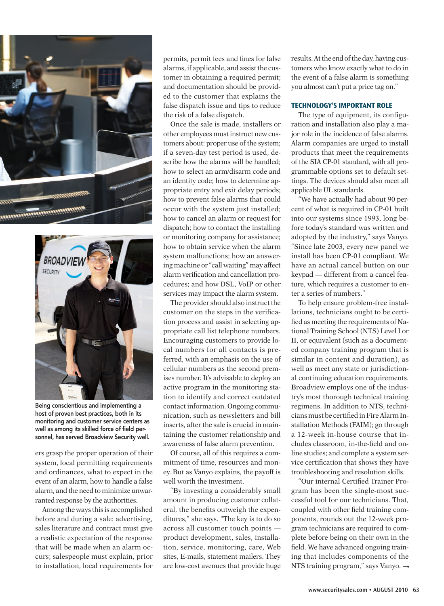



Being conscientious and implementing a host of proven best practices, both in its monitoring and customer service centers as well as among its skilled force of field personnel, has served Broadview Security well.

ers grasp the proper operation of their system, local permitting requirements and ordinances, what to expect in the event of an alarm, how to handle a false alarm, and the need to minimize unwarranted response by the authorities.

Among the ways this is accomplished before and during a sale: advertising, sales literature and contract must give a realistic expectation of the response that will be made when an alarm occurs; salespeople must explain, prior to installation, local requirements for

permits, permit fees and fines for false alarms, if applicable, and assist the customer in obtaining a required permit; and documentation should be provided to the customer that explains the false dispatch issue and tips to reduce the risk of a false dispatch.

Once the sale is made, installers or other employees must instruct new customers about: proper use of the system; if a seven-day test period is used, describe how the alarms will be handled; how to select an arm/disarm code and an identity code; how to determine appropriate entry and exit delay periods; how to prevent false alarms that could occur with the system just installed; how to cancel an alarm or request for dispatch; how to contact the installing or monitoring company for assistance; how to obtain service when the alarm system malfunctions; how an answering machine or "call waiting" may affect alarm verification and cancellation procedures; and how DSL, VoIP or other services may impact the alarm system.

The provider should also instruct the customer on the steps in the verification process and assist in selecting appropriate call list telephone numbers. Encouraging customers to provide local numbers for all contacts is preferred, with an emphasis on the use of cellular numbers as the second premises number. It's advisable to deploy an active program in the monitoring station to identify and correct outdated contact information. Ongoing communication, such as newsletters and bill inserts, after the sale is crucial in maintaining the customer relationship and awareness of false alarm prevention.

Of course, all of this requires a commitment of time, resources and money. But as Vanyo explains, the payoff is well worth the investment.

"By investing a considerably small amount in producing customer collateral, the benefits outweigh the expenditures," she says. "The key is to do so across all customer touch points product development, sales, installation, service, monitoring, care, Web sites, E-mails, statement mailers. They are low-cost avenues that provide huge

results. At the end of the day, having customers who know exactly what to do in the event of a false alarm is something you almost can't put a price tag on."

#### **Technology'S IMPORTANT ROLE**

The type of equipment, its configuration and installation also play a major role in the incidence of false alarms. Alarm companies are urged to install products that meet the requirements of the SIA CP-01 standard, with all programmable options set to default settings. The devices should also meet all applicable UL standards.

"We have actually had about 90 percent of what is required in CP-01 built into our systems since 1993, long before today's standard was written and adopted by the industry," says Vanyo. "Since late 2003, every new panel we install has been CP-01 compliant. We have an actual cancel button on our keypad — different from a cancel feature, which requires a customer to enter a series of numbers."

To help ensure problem-free installations, technicians ought to be certified as meeting the requirements of National Training School (NTS) Level I or II, or equivalent (such as a documented company training program that is similar in content and duration), as well as meet any state or jurisdictional continuing education requirements. Broadview employs one of the industry's most thorough technical training regimens. In addition to NTS, technicians must be certified in Fire Alarm Installation Methods (FAIM); go through a 12-week in-house course that includes classroom, in-the-field and online studies; and complete a system service certification that shows they have troubleshooting and resolution skills.

"Our internal Certified Trainer Program has been the single-most successful tool for our technicians. That, coupled with other field training components, rounds out the 12-week program technicians are required to complete before being on their own in the field. We have advanced ongoing training that includes components of the NTS training program," says Vanyo. ➞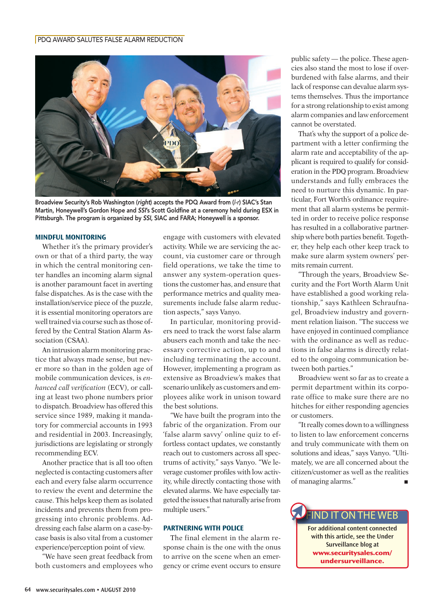# PDQ Award Salutes False Alarm Reduction



Broadview Security's Rob Washington (*right*) accepts the PDQ Award from (*l-r*) SIAC's Stan Martin, Honeywell's Gordon Hope and *SSI*'s Scott Goldfine at a ceremony held during ESX in Pittsburgh. The program is organized by *SSI*, SIAC and FARA; Honeywell is a sponsor.

#### **Mindful Monitoring**

Whether it's the primary provider's own or that of a third party, the way in which the central monitoring center handles an incoming alarm signal is another paramount facet in averting false dispatches. As is the case with the installation/service piece of the puzzle, it is essential monitoring operators are well trained via course such as those offered by the Central Station Alarm Association (CSAA).

An intrusion alarm monitoring practice that always made sense, but never more so than in the golden age of mobile communication devices, is *enhanced call verification* (ECV), or calling at least two phone numbers prior to dispatch. Broadview has offered this service since 1989, making it mandatory for commercial accounts in 1993 and residential in 2003. Increasingly, jurisdictions are legislating or strongly recommending ECV.

Another practice that is all too often neglected is contacting customers after each and every false alarm occurrence to review the event and determine the cause. This helps keep them as isolated incidents and prevents them from progressing into chronic problems. Addressing each false alarm on a case-bycase basis is also vital from a customer experience/perception point of view.

"We have seen great feedback from both customers and employees who engage with customers with elevated activity. While we are servicing the account, via customer care or through field operations, we take the time to answer any system-operation questions the customer has, and ensure that performance metrics and quality measurements include false alarm reduction aspects," says Vanyo.

In particular, monitoring providers need to track the worst false alarm abusers each month and take the necessary corrective action, up to and including terminating the account. However, implementing a program as extensive as Broadview's makes that scenario unlikely as customers and employees alike work in unison toward the best solutions.

"We have built the program into the fabric of the organization. From our 'false alarm savvy' online quiz to effortless contact updates, we constantly reach out to customers across all spectrums of activity," says Vanyo. "We leverage customer profiles with low activity, while directly contacting those with elevated alarms. We have especially targeted the issues that naturally arise from multiple users."

# **Partnering With Police**

The final element in the alarm response chain is the one with the onus to arrive on the scene when an emergency or crime event occurs to ensure

public safety — the police. These agencies also stand the most to lose if overburdened with false alarms, and their lack of response can devalue alarm systems themselves. Thus the importance for a strong relationship to exist among alarm companies and law enforcement cannot be overstated.

That's why the support of a police department with a letter confirming the alarm rate and acceptability of the applicant is required to qualify for consideration in the PDQ program. Broadview understands and fully embraces the need to nurture this dynamic. In particular, Fort Worth's ordinance requirement that all alarm systems be permitted in order to receive police response has resulted in a collaborative partnership where both parties benefit. Together, they help each other keep track to make sure alarm system owners' permits remain current.

"Through the years, Broadview Security and the Fort Worth Alarm Unit have established a good working relationship," says Kathleen Schraufnagel, Broadview industry and government relation liaison. "The success we have enjoyed in continued compliance with the ordinance as well as reductions in false alarms is directly related to the ongoing communication between both parties."

Broadview went so far as to create a permit department within its corporate office to make sure there are no hitches for either responding agencies or customers.

"It really comes down to a willingness to listen to law enforcement concerns and truly communicate with them on solutions and ideas," says Vanyo. "Ultimately, we are all concerned about the citizen/customer as well as the realities of managing alarms."

> **For additional content connected with this article, see the Under Surveillance blog at www.securitysales.com/**

IND IT ON THE WEB

**undersurveillance.**